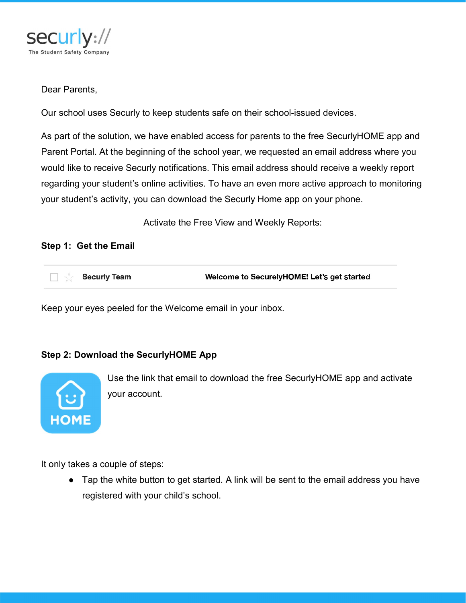

### Dear Parents,

Our school uses Securly to keep students safe on their school-issued devices.

As part of the solution, we have enabled access for parents to the free SecurlyHOME app and Parent Portal. At the beginning of the school year, we requested an email address where you would like to receive Securly notifications. This email address should receive a weekly report regarding your student's online activities. To have an even more active approach to monitoring your student's activity, you can download the Securly Home app on your phone.

Activate the Free View and Weekly Reports:

#### Step 1: Get the Email

| <b>Security Team</b> | Welcome to SecurelyHOME! Let's get started |
|----------------------|--------------------------------------------|
|                      |                                            |

Keep your eyes peeled for the Welcome email in your inbox.

#### Step 2: Download the SecurlyHOME App



Use the link that email to download the free SecurlyHOME app and activate your account.

It only takes a couple of steps:

• Tap the white button to get started. A link will be sent to the email address you have registered with your child's school.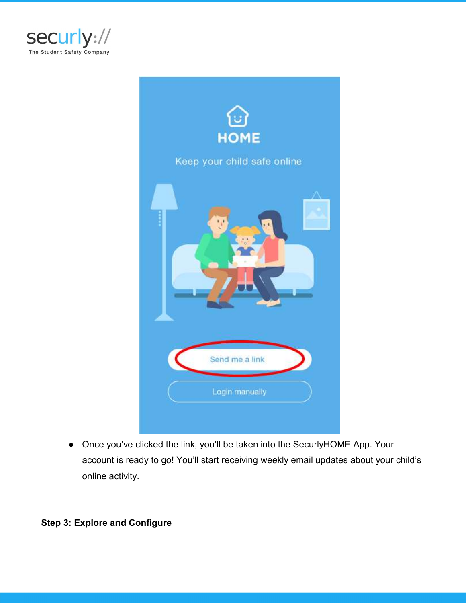



● Once you've clicked the link, you'll be taken into the SecurlyHOME App. Your account is ready to go! You'll start receiving weekly email updates about your child's online activity.

## Step 3: Explore and Configure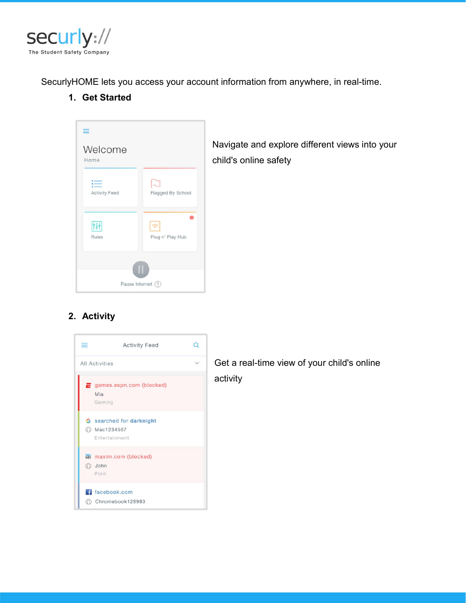

SecurlyHOME lets you access your account information from anywhere, in real-time.

1. Get Started



Navigate and explore different views into your child's online safety

# 2. Activity



Get a real-time view of your child's online activity